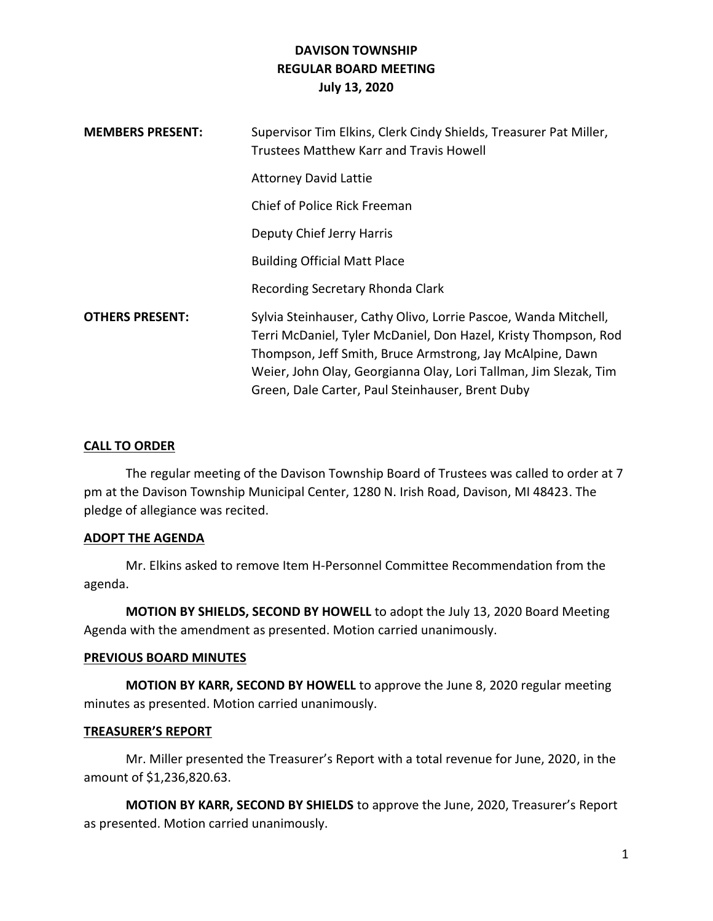| <b>MEMBERS PRESENT:</b> | Supervisor Tim Elkins, Clerk Cindy Shields, Treasurer Pat Miller,<br>Trustees Matthew Karr and Travis Howell                                                                                                                                                                                                            |
|-------------------------|-------------------------------------------------------------------------------------------------------------------------------------------------------------------------------------------------------------------------------------------------------------------------------------------------------------------------|
|                         | <b>Attorney David Lattie</b>                                                                                                                                                                                                                                                                                            |
|                         | Chief of Police Rick Freeman                                                                                                                                                                                                                                                                                            |
|                         | Deputy Chief Jerry Harris                                                                                                                                                                                                                                                                                               |
|                         | <b>Building Official Matt Place</b>                                                                                                                                                                                                                                                                                     |
|                         | Recording Secretary Rhonda Clark                                                                                                                                                                                                                                                                                        |
| <b>OTHERS PRESENT:</b>  | Sylvia Steinhauser, Cathy Olivo, Lorrie Pascoe, Wanda Mitchell,<br>Terri McDaniel, Tyler McDaniel, Don Hazel, Kristy Thompson, Rod<br>Thompson, Jeff Smith, Bruce Armstrong, Jay McAlpine, Dawn<br>Weier, John Olay, Georgianna Olay, Lori Tallman, Jim Slezak, Tim<br>Green, Dale Carter, Paul Steinhauser, Brent Duby |

### **CALL TO ORDER**

The regular meeting of the Davison Township Board of Trustees was called to order at 7 pm at the Davison Township Municipal Center, 1280 N. Irish Road, Davison, MI 48423. The pledge of allegiance was recited.

#### **ADOPT THE AGENDA**

Mr. Elkins asked to remove Item H-Personnel Committee Recommendation from the agenda.

**MOTION BY SHIELDS, SECOND BY HOWELL** to adopt the July 13, 2020 Board Meeting Agenda with the amendment as presented. Motion carried unanimously.

#### **PREVIOUS BOARD MINUTES**

**MOTION BY KARR, SECOND BY HOWELL** to approve the June 8, 2020 regular meeting minutes as presented. Motion carried unanimously.

#### **TREASURER'S REPORT**

Mr. Miller presented the Treasurer's Report with a total revenue for June, 2020, in the amount of \$1,236,820.63.

**MOTION BY KARR, SECOND BY SHIELDS** to approve the June, 2020, Treasurer's Report as presented. Motion carried unanimously.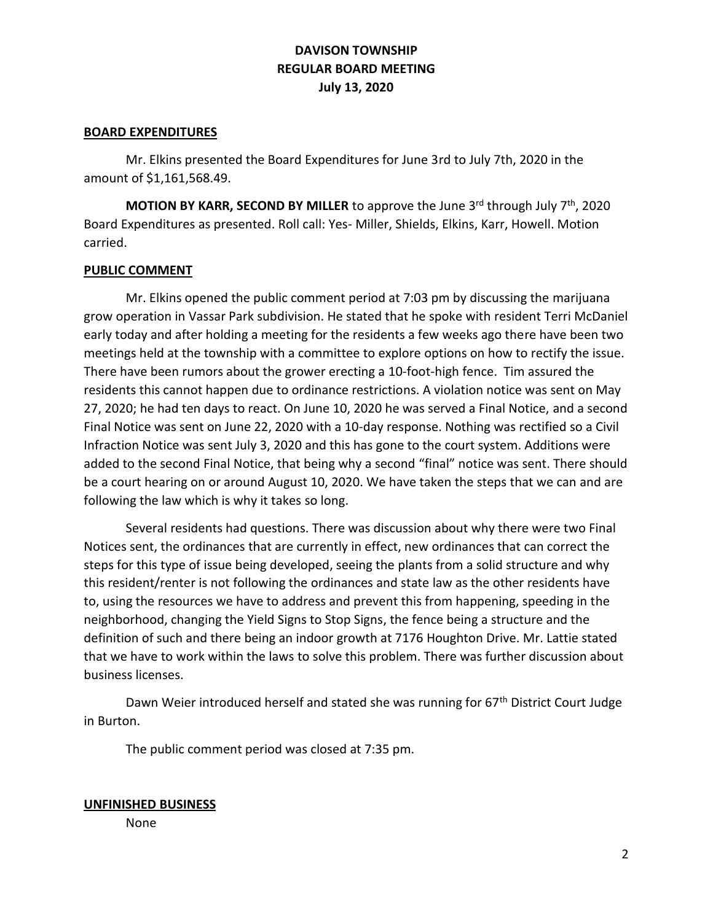#### **BOARD EXPENDITURES**

Mr. Elkins presented the Board Expenditures for June 3rd to July 7th, 2020 in the amount of \$1,161,568.49.

**MOTION BY KARR, SECOND BY MILLER** to approve the June 3<sup>rd</sup> through July 7<sup>th</sup>, 2020 Board Expenditures as presented. Roll call: Yes- Miller, Shields, Elkins, Karr, Howell. Motion carried.

#### **PUBLIC COMMENT**

Mr. Elkins opened the public comment period at 7:03 pm by discussing the marijuana grow operation in Vassar Park subdivision. He stated that he spoke with resident Terri McDaniel early today and after holding a meeting for the residents a few weeks ago there have been two meetings held at the township with a committee to explore options on how to rectify the issue. There have been rumors about the grower erecting a 10-foot-high fence. Tim assured the residents this cannot happen due to ordinance restrictions. A violation notice was sent on May 27, 2020; he had ten days to react. On June 10, 2020 he was served a Final Notice, and a second Final Notice was sent on June 22, 2020 with a 10-day response. Nothing was rectified so a Civil Infraction Notice was sent July 3, 2020 and this has gone to the court system. Additions were added to the second Final Notice, that being why a second "final" notice was sent. There should be a court hearing on or around August 10, 2020. We have taken the steps that we can and are following the law which is why it takes so long.

Several residents had questions. There was discussion about why there were two Final Notices sent, the ordinances that are currently in effect, new ordinances that can correct the steps for this type of issue being developed, seeing the plants from a solid structure and why this resident/renter is not following the ordinances and state law as the other residents have to, using the resources we have to address and prevent this from happening, speeding in the neighborhood, changing the Yield Signs to Stop Signs, the fence being a structure and the definition of such and there being an indoor growth at 7176 Houghton Drive. Mr. Lattie stated that we have to work within the laws to solve this problem. There was further discussion about business licenses.

Dawn Weier introduced herself and stated she was running for 67<sup>th</sup> District Court Judge in Burton.

The public comment period was closed at 7:35 pm.

#### **UNFINISHED BUSINESS**

None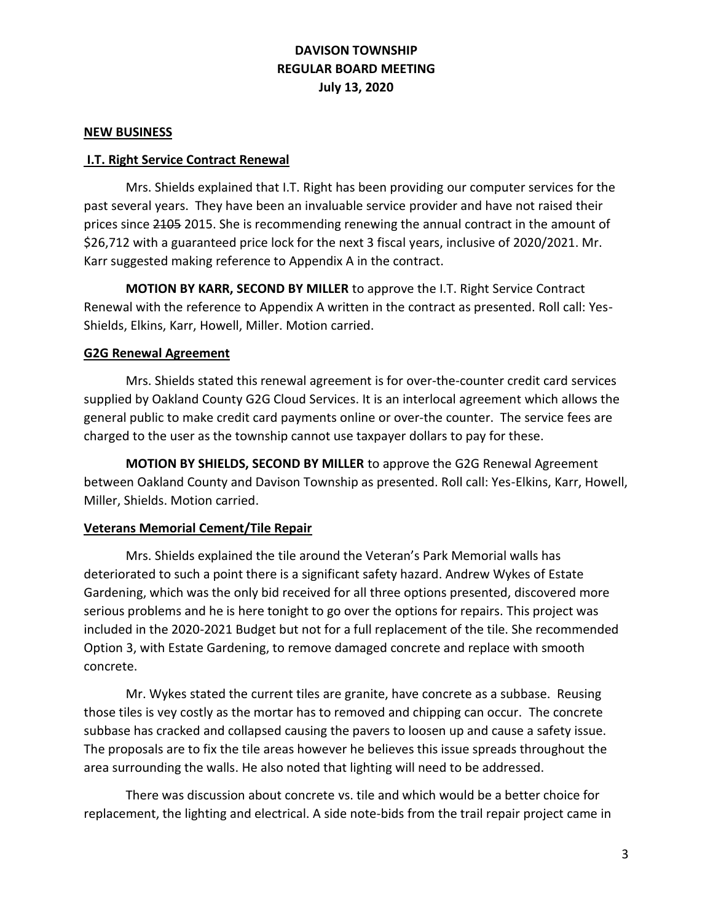#### **NEW BUSINESS**

### **I.T. Right Service Contract Renewal**

Mrs. Shields explained that I.T. Right has been providing our computer services for the past several years. They have been an invaluable service provider and have not raised their prices since 2105 2015. She is recommending renewing the annual contract in the amount of \$26,712 with a guaranteed price lock for the next 3 fiscal years, inclusive of 2020/2021. Mr. Karr suggested making reference to Appendix A in the contract.

**MOTION BY KARR, SECOND BY MILLER** to approve the I.T. Right Service Contract Renewal with the reference to Appendix A written in the contract as presented. Roll call: Yes-Shields, Elkins, Karr, Howell, Miller. Motion carried.

### **G2G Renewal Agreement**

Mrs. Shields stated this renewal agreement is for over-the-counter credit card services supplied by Oakland County G2G Cloud Services. It is an interlocal agreement which allows the general public to make credit card payments online or over-the counter. The service fees are charged to the user as the township cannot use taxpayer dollars to pay for these.

**MOTION BY SHIELDS, SECOND BY MILLER** to approve the G2G Renewal Agreement between Oakland County and Davison Township as presented. Roll call: Yes-Elkins, Karr, Howell, Miller, Shields. Motion carried.

### **Veterans Memorial Cement/Tile Repair**

Mrs. Shields explained the tile around the Veteran's Park Memorial walls has deteriorated to such a point there is a significant safety hazard. Andrew Wykes of Estate Gardening, which was the only bid received for all three options presented, discovered more serious problems and he is here tonight to go over the options for repairs. This project was included in the 2020-2021 Budget but not for a full replacement of the tile. She recommended Option 3, with Estate Gardening, to remove damaged concrete and replace with smooth concrete.

Mr. Wykes stated the current tiles are granite, have concrete as a subbase. Reusing those tiles is vey costly as the mortar has to removed and chipping can occur. The concrete subbase has cracked and collapsed causing the pavers to loosen up and cause a safety issue. The proposals are to fix the tile areas however he believes this issue spreads throughout the area surrounding the walls. He also noted that lighting will need to be addressed.

There was discussion about concrete vs. tile and which would be a better choice for replacement, the lighting and electrical. A side note-bids from the trail repair project came in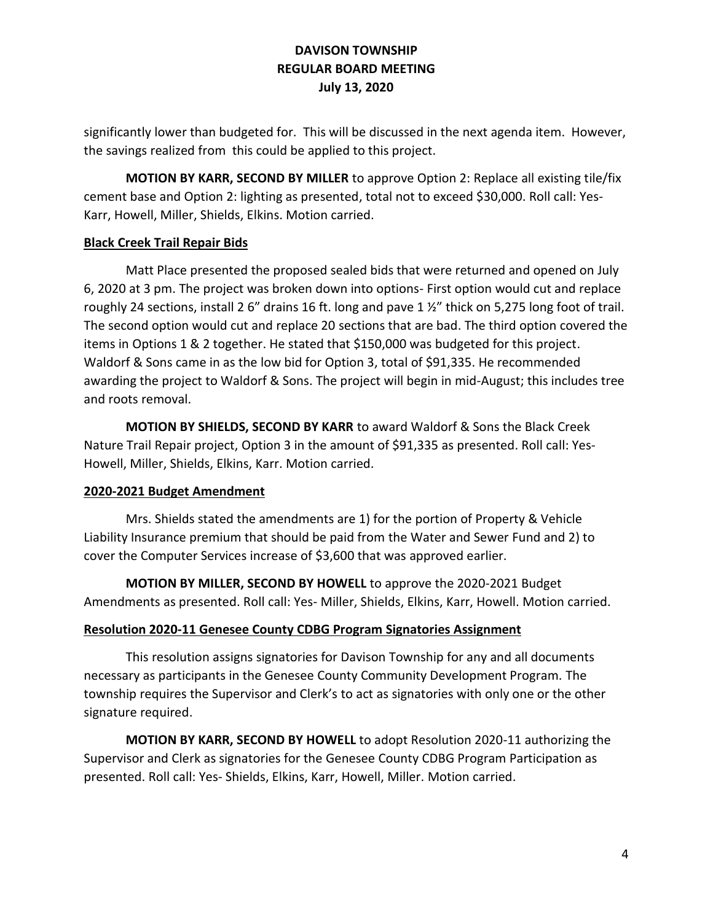significantly lower than budgeted for. This will be discussed in the next agenda item. However, the savings realized from this could be applied to this project.

**MOTION BY KARR, SECOND BY MILLER** to approve Option 2: Replace all existing tile/fix cement base and Option 2: lighting as presented, total not to exceed \$30,000. Roll call: Yes-Karr, Howell, Miller, Shields, Elkins. Motion carried.

# **Black Creek Trail Repair Bids**

Matt Place presented the proposed sealed bids that were returned and opened on July 6, 2020 at 3 pm. The project was broken down into options- First option would cut and replace roughly 24 sections, install 2 6" drains 16 ft. long and pave 1 ½" thick on 5,275 long foot of trail. The second option would cut and replace 20 sections that are bad. The third option covered the items in Options 1 & 2 together. He stated that \$150,000 was budgeted for this project. Waldorf & Sons came in as the low bid for Option 3, total of \$91,335. He recommended awarding the project to Waldorf & Sons. The project will begin in mid-August; this includes tree and roots removal.

**MOTION BY SHIELDS, SECOND BY KARR** to award Waldorf & Sons the Black Creek Nature Trail Repair project, Option 3 in the amount of \$91,335 as presented. Roll call: Yes-Howell, Miller, Shields, Elkins, Karr. Motion carried.

### **2020-2021 Budget Amendment**

Mrs. Shields stated the amendments are 1) for the portion of Property & Vehicle Liability Insurance premium that should be paid from the Water and Sewer Fund and 2) to cover the Computer Services increase of \$3,600 that was approved earlier.

**MOTION BY MILLER, SECOND BY HOWELL** to approve the 2020-2021 Budget Amendments as presented. Roll call: Yes- Miller, Shields, Elkins, Karr, Howell. Motion carried.

# **Resolution 2020-11 Genesee County CDBG Program Signatories Assignment**

This resolution assigns signatories for Davison Township for any and all documents necessary as participants in the Genesee County Community Development Program. The township requires the Supervisor and Clerk's to act as signatories with only one or the other signature required.

**MOTION BY KARR, SECOND BY HOWELL** to adopt Resolution 2020-11 authorizing the Supervisor and Clerk as signatories for the Genesee County CDBG Program Participation as presented. Roll call: Yes- Shields, Elkins, Karr, Howell, Miller. Motion carried.